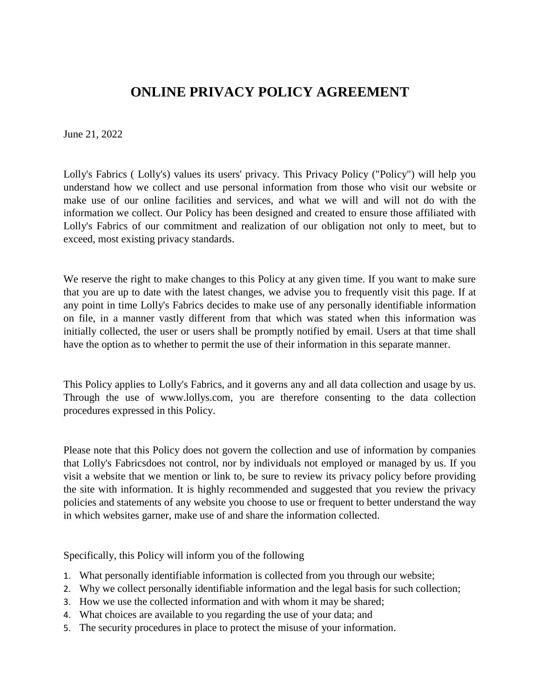# **ONLINE PRIVACY POLICY AGREEMENT**

June 21, 2022

Lolly's Fabrics ( Lolly's) values its users' privacy. This Privacy Policy ("Policy") will help you understand how we collect and use personal information from those who visit our website or make use of our online facilities and services, and what we will and will not do with the information we collect. Our Policy has been designed and created to ensure those affiliated with Lolly's Fabrics of our commitment and realization of our obligation not only to meet, but to exceed, most existing privacy standards.

We reserve the right to make changes to this Policy at any given time. If you want to make sure that you are up to date with the latest changes, we advise you to frequently visit this page. If at any point in time Lolly's Fabrics decides to make use of any personally identifiable information on file, in a manner vastly different from that which was stated when this information was initially collected, the user or users shall be promptly notified by email. Users at that time shall have the option as to whether to permit the use of their information in this separate manner.

This Policy applies to Lolly's Fabrics, and it governs any and all data collection and usage by us. Through the use of www.lollys.com, you are therefore consenting to the data collection procedures expressed in this Policy.

Please note that this Policy does not govern the collection and use of information by companies that Lolly's Fabricsdoes not control, nor by individuals not employed or managed by us. If you visit a website that we mention or link to, be sure to review its privacy policy before providing the site with information. It is highly recommended and suggested that you review the privacy policies and statements of any website you choose to use or frequent to better understand the way in which websites garner, make use of and share the information collected.

Specifically, this Policy will inform you of the following

- 1. What personally identifiable information is collected from you through our website;
- 2. Why we collect personally identifiable information and the legal basis for such collection;
- 3. How we use the collected information and with whom it may be shared;
- 4. What choices are available to you regarding the use of your data; and
- 5. The security procedures in place to protect the misuse of your information.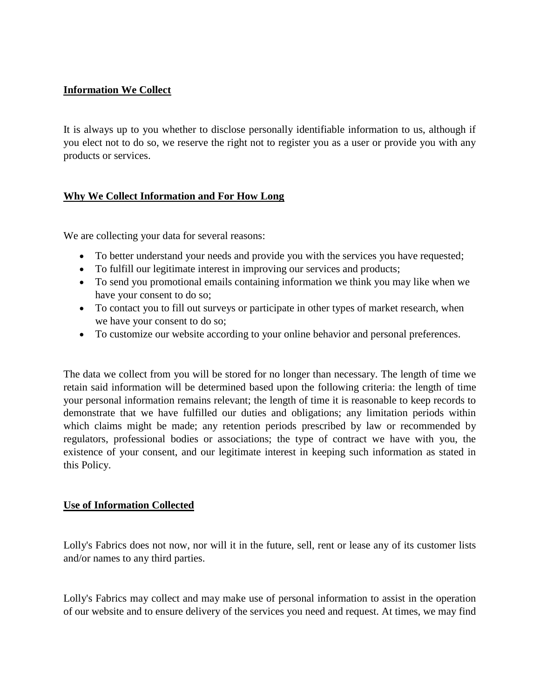# **Information We Collect**

It is always up to you whether to disclose personally identifiable information to us, although if you elect not to do so, we reserve the right not to register you as a user or provide you with any products or services.

# **Why We Collect Information and For How Long**

We are collecting your data for several reasons:

- To better understand your needs and provide you with the services you have requested;
- To fulfill our legitimate interest in improving our services and products;
- To send you promotional emails containing information we think you may like when we have your consent to do so;
- To contact you to fill out surveys or participate in other types of market research, when we have your consent to do so;
- To customize our website according to your online behavior and personal preferences.

The data we collect from you will be stored for no longer than necessary. The length of time we retain said information will be determined based upon the following criteria: the length of time your personal information remains relevant; the length of time it is reasonable to keep records to demonstrate that we have fulfilled our duties and obligations; any limitation periods within which claims might be made; any retention periods prescribed by law or recommended by regulators, professional bodies or associations; the type of contract we have with you, the existence of your consent, and our legitimate interest in keeping such information as stated in this Policy.

#### **Use of Information Collected**

Lolly's Fabrics does not now, nor will it in the future, sell, rent or lease any of its customer lists and/or names to any third parties.

Lolly's Fabrics may collect and may make use of personal information to assist in the operation of our website and to ensure delivery of the services you need and request. At times, we may find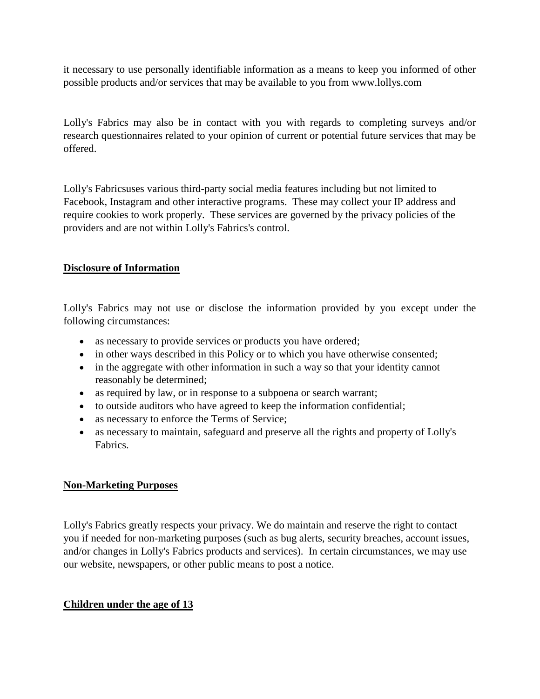it necessary to use personally identifiable information as a means to keep you informed of other possible products and/or services that may be available to you from www.lollys.com

Lolly's Fabrics may also be in contact with you with regards to completing surveys and/or research questionnaires related to your opinion of current or potential future services that may be offered.

Lolly's Fabricsuses various third-party social media features including but not limited to Facebook, Instagram and other interactive programs. These may collect your IP address and require cookies to work properly. These services are governed by the privacy policies of the providers and are not within Lolly's Fabrics's control.

# **Disclosure of Information**

Lolly's Fabrics may not use or disclose the information provided by you except under the following circumstances:

- as necessary to provide services or products you have ordered;
- in other ways described in this Policy or to which you have otherwise consented;
- in the aggregate with other information in such a way so that your identity cannot reasonably be determined;
- as required by law, or in response to a subpoena or search warrant;
- to outside auditors who have agreed to keep the information confidential;
- as necessary to enforce the Terms of Service;
- as necessary to maintain, safeguard and preserve all the rights and property of Lolly's Fabrics.

# **Non-Marketing Purposes**

Lolly's Fabrics greatly respects your privacy. We do maintain and reserve the right to contact you if needed for non-marketing purposes (such as bug alerts, security breaches, account issues, and/or changes in Lolly's Fabrics products and services). In certain circumstances, we may use our website, newspapers, or other public means to post a notice.

# **Children under the age of 13**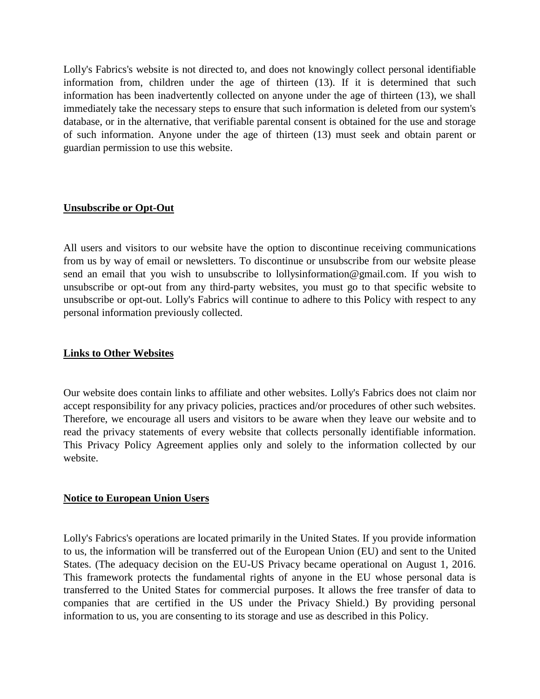Lolly's Fabrics's website is not directed to, and does not knowingly collect personal identifiable information from, children under the age of thirteen (13). If it is determined that such information has been inadvertently collected on anyone under the age of thirteen (13), we shall immediately take the necessary steps to ensure that such information is deleted from our system's database, or in the alternative, that verifiable parental consent is obtained for the use and storage of such information. Anyone under the age of thirteen (13) must seek and obtain parent or guardian permission to use this website.

#### **Unsubscribe or Opt-Out**

All users and visitors to our website have the option to discontinue receiving communications from us by way of email or newsletters. To discontinue or unsubscribe from our website please send an email that you wish to unsubscribe to lollysinformation@gmail.com. If you wish to unsubscribe or opt-out from any third-party websites, you must go to that specific website to unsubscribe or opt-out. Lolly's Fabrics will continue to adhere to this Policy with respect to any personal information previously collected.

### **Links to Other Websites**

Our website does contain links to affiliate and other websites. Lolly's Fabrics does not claim nor accept responsibility for any privacy policies, practices and/or procedures of other such websites. Therefore, we encourage all users and visitors to be aware when they leave our website and to read the privacy statements of every website that collects personally identifiable information. This Privacy Policy Agreement applies only and solely to the information collected by our website.

#### **Notice to European Union Users**

Lolly's Fabrics's operations are located primarily in the United States. If you provide information to us, the information will be transferred out of the European Union (EU) and sent to the United States. (The adequacy decision on the EU-US Privacy became operational on August 1, 2016. This framework protects the fundamental rights of anyone in the EU whose personal data is transferred to the United States for commercial purposes. It allows the free transfer of data to companies that are certified in the US under the Privacy Shield.) By providing personal information to us, you are consenting to its storage and use as described in this Policy.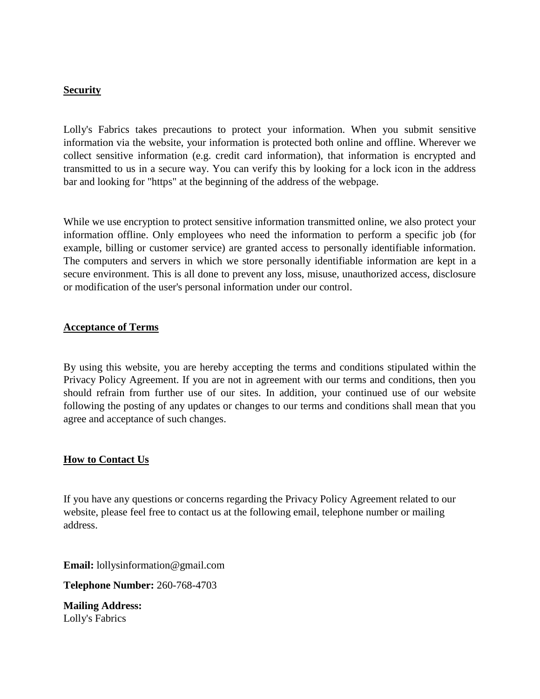#### **Security**

Lolly's Fabrics takes precautions to protect your information. When you submit sensitive information via the website, your information is protected both online and offline. Wherever we collect sensitive information (e.g. credit card information), that information is encrypted and transmitted to us in a secure way. You can verify this by looking for a lock icon in the address bar and looking for "https" at the beginning of the address of the webpage.

While we use encryption to protect sensitive information transmitted online, we also protect your information offline. Only employees who need the information to perform a specific job (for example, billing or customer service) are granted access to personally identifiable information. The computers and servers in which we store personally identifiable information are kept in a secure environment. This is all done to prevent any loss, misuse, unauthorized access, disclosure or modification of the user's personal information under our control.

#### **Acceptance of Terms**

By using this website, you are hereby accepting the terms and conditions stipulated within the Privacy Policy Agreement. If you are not in agreement with our terms and conditions, then you should refrain from further use of our sites. In addition, your continued use of our website following the posting of any updates or changes to our terms and conditions shall mean that you agree and acceptance of such changes.

# **How to Contact Us**

If you have any questions or concerns regarding the Privacy Policy Agreement related to our website, please feel free to contact us at the following email, telephone number or mailing address.

**Email:** lollysinformation@gmail.com

**Telephone Number:** 260-768-4703

**Mailing Address:** Lolly's Fabrics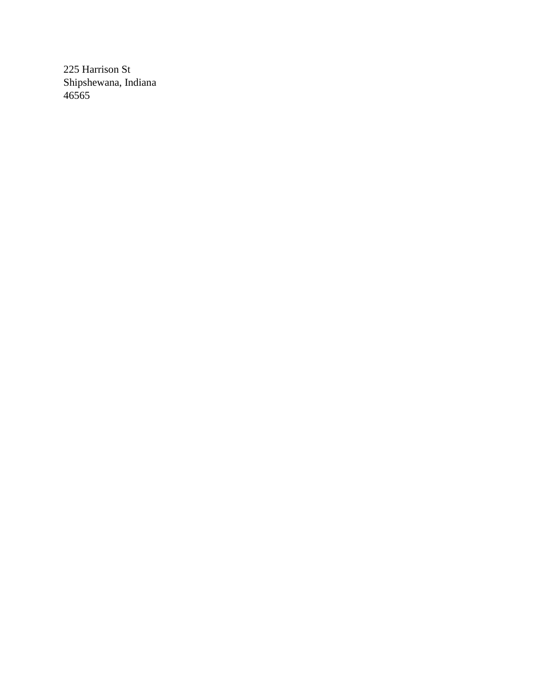225 Harrison St Shipshewana, Indiana 46565